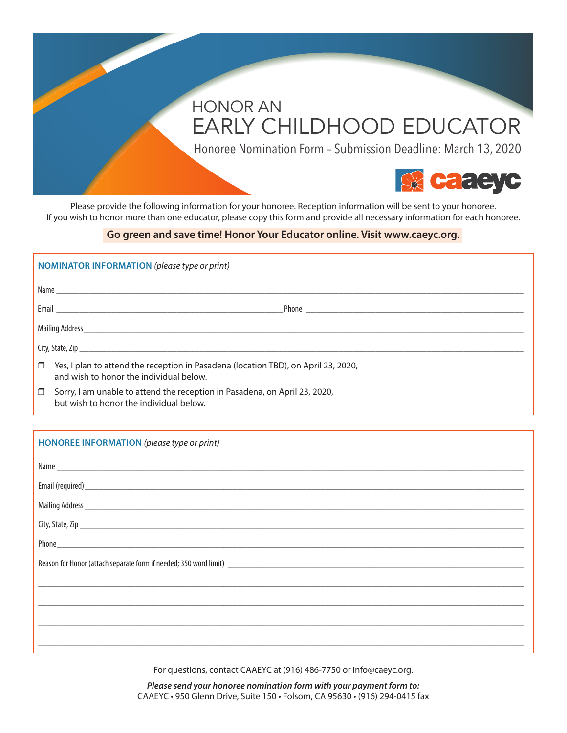# HONOR AN EARLY CHILDHOOD EDUCATOR Honoree Nomination Form – Submission Deadline: March 13, 2020**Reaseve**

Please provide the following information for your honoree. Reception information will be sent to your honoree. If you wish to honor more than one educator, please copy this form and provide all necessary information for each honoree.

## **Go green and save time! Honor Your Educator online. Visit www.caeyc.org.**

| <b>NOMINATOR INFORMATION</b> (please type or print) |                                                                                                                               |  |  |  |  |
|-----------------------------------------------------|-------------------------------------------------------------------------------------------------------------------------------|--|--|--|--|
|                                                     |                                                                                                                               |  |  |  |  |
|                                                     |                                                                                                                               |  |  |  |  |
|                                                     |                                                                                                                               |  |  |  |  |
|                                                     |                                                                                                                               |  |  |  |  |
| σ.                                                  | Yes, I plan to attend the reception in Pasadena (location TBD), on April 23, 2020,<br>and wish to honor the individual below. |  |  |  |  |
| $\Box$                                              | Sorry, I am unable to attend the reception in Pasadena, on April 23, 2020,<br>but wish to honor the individual below.         |  |  |  |  |

| <b>HONOREE INFORMATION</b> (please type or print)                                                                                                                                                                                |  |  |  |  |  |
|----------------------------------------------------------------------------------------------------------------------------------------------------------------------------------------------------------------------------------|--|--|--|--|--|
|                                                                                                                                                                                                                                  |  |  |  |  |  |
|                                                                                                                                                                                                                                  |  |  |  |  |  |
|                                                                                                                                                                                                                                  |  |  |  |  |  |
|                                                                                                                                                                                                                                  |  |  |  |  |  |
|                                                                                                                                                                                                                                  |  |  |  |  |  |
| Reason for Honor (attach separate form if needed; 350 word limit)<br>and the content of the content of the content of the content of the content of the content of the content of the content of the content of the content of t |  |  |  |  |  |
|                                                                                                                                                                                                                                  |  |  |  |  |  |
|                                                                                                                                                                                                                                  |  |  |  |  |  |
|                                                                                                                                                                                                                                  |  |  |  |  |  |
|                                                                                                                                                                                                                                  |  |  |  |  |  |
|                                                                                                                                                                                                                                  |  |  |  |  |  |

For questions, contact CAAEYC at (916) 486-7750 or info@caeyc.org.

*Please send your honoree nomination form with your payment form to:* CAAEYC • 950 Glenn Drive, Suite 150 • Folsom, CA 95630 • (916) 294-0415 fax